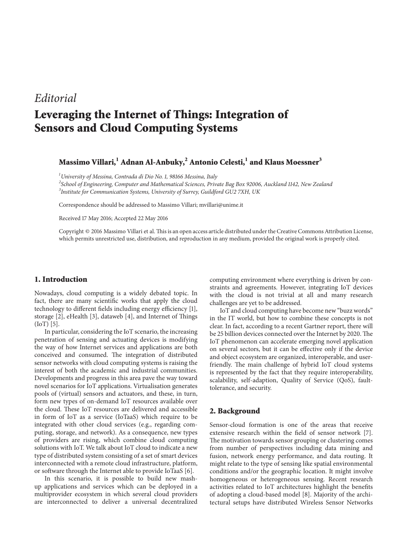## *Editorial*

# **Leveraging the Internet of Things: Integration of Sensors and Cloud Computing Systems**

### **Massimo Villari,<sup>1</sup> Adnan Al-Anbuky,<sup>2</sup> Antonio Celesti,<sup>1</sup> and Klaus Moessner<sup>3</sup>**

*1 University of Messina, Contrada di Dio No. 1, 98166 Messina, Italy*

*2 School of Engineering, Computer and Mathematical Sciences, Private Bag Box 92006, Auckland 1142, New Zealand 3 Institute for Communication Systems, University of Surrey, Guildford GU2 7XH, UK*

Correspondence should be addressed to Massimo Villari; mvillari@unime.it

Received 17 May 2016; Accepted 22 May 2016

Copyright © 2016 Massimo Villari et al.This is an open access article distributed under the Creative Commons Attribution License, which permits unrestricted use, distribution, and reproduction in any medium, provided the original work is properly cited.

#### **1. Introduction**

Nowadays, cloud computing is a widely debated topic. In fact, there are many scientific works that apply the cloud technology to different fields including energy efficiency [\[1\]](#page-3-0), storage [\[2\]](#page-3-1), eHealth [\[3\]](#page-3-2), dataweb [\[4](#page-3-3)], and Internet of Things (IoT) [\[5](#page-3-4)].

In particular, considering the IoT scenario, the increasing penetration of sensing and actuating devices is modifying the way of how Internet services and applications are both conceived and consumed. The integration of distributed sensor networks with cloud computing systems is raising the interest of both the academic and industrial communities. Developments and progress in this area pave the way toward novel scenarios for IoT applications. Virtualisation generates pools of (virtual) sensors and actuators, and these, in turn, form new types of on-demand IoT resources available over the cloud. These IoT resources are delivered and accessible in form of IoT as a service (IoTaaS) which require to be integrated with other cloud services (e.g., regarding computing, storage, and network). As a consequence, new types of providers are rising, which combine cloud computing solutions with IoT. We talk about IoT cloud to indicate a new type of distributed system consisting of a set of smart devices interconnected with a remote cloud infrastructure, platform, or software through the Internet able to provide IoTaaS [\[6\]](#page-3-5).

In this scenario, it is possible to build new mashup applications and services which can be deployed in a multiprovider ecosystem in which several cloud providers are interconnected to deliver a universal decentralized

computing environment where everything is driven by constraints and agreements. However, integrating IoT devices with the cloud is not trivial at all and many research challenges are yet to be addressed.

IoT and cloud computing have become new "buzz words" in the IT world, but how to combine these concepts is not clear. In fact, according to a recent Gartner report, there will be 25 billion devices connected over the Internet by 2020. The IoT phenomenon can accelerate emerging novel application on several sectors, but it can be effective only if the device and object ecosystem are organized, interoperable, and userfriendly. The main challenge of hybrid IoT cloud systems is represented by the fact that they require interoperability, scalability, self-adaption, Quality of Service (QoS), faulttolerance, and security.

#### **2. Background**

Sensor-cloud formation is one of the areas that receive extensive research within the field of sensor network [\[7](#page-3-6)]. The motivation towards sensor grouping or clustering comes from number of perspectives including data mining and fusion, network energy performance, and data routing. It might relate to the type of sensing like spatial environmental conditions and/or the geographic location. It might involve homogeneous or heterogeneous sensing. Recent research activities related to IoT architectures highlight the benefits of adopting a cloud-based model [\[8\]](#page-3-7). Majority of the architectural setups have distributed Wireless Sensor Networks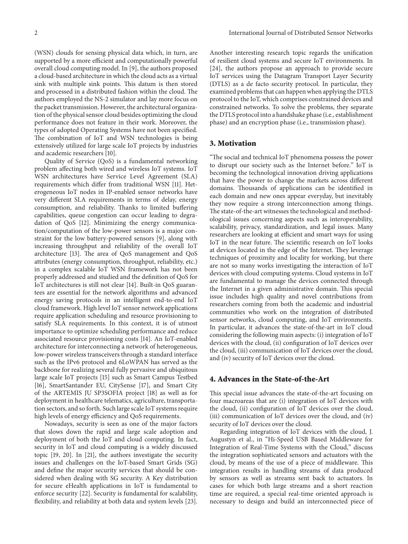(WSN) clouds for sensing physical data which, in turn, are supported by a more efficient and computationally powerful overall cloud computing model. In [\[9](#page-3-8)], the authors proposed a cloud-based architecture in which the cloud acts as a virtual sink with multiple sink points. This datum is then stored and processed in a distributed fashion within the cloud. The authors employed the NS-2 simulator and lay more focus on the packet transmission. However, the architectural organization of the physical sensor cloud besides optimizing the cloud performance does not feature in their work. Moreover, the types of adopted Operating Systems have not been specified. The combination of IoT and WSN technologies is being extensively utilized for large scale IoT projects by industries and academic researchers [\[10](#page-3-9)].

Quality of Service (QoS) is a fundamental networking problem affecting both wired and wireless IoT systems. IoT WSN architectures have Service Level Agreement (SLA) requirements which differ from traditional WSN [\[11](#page-3-10)]. Heterogeneous IoT nodes in IP-enabled sensor networks have very different SLA requirements in terms of delay, energy consumption, and reliability. Thanks to limited buffering capabilities, queue congestion can occur leading to degradation of QoS [\[12\]](#page-3-11). Minimizing the energy communication/computation of the low-power sensors is a major constraint for the low battery-powered sensors [\[9](#page-3-8)], along with increasing throughput and reliability of the overall IoT architecture [\[13\]](#page-3-12). The area of QoS management and QoS attributes (energy consumption, throughput, reliability, etc.) in a complex scalable IoT WSN framework has not been properly addressed and studied and the definition of QoS for IoT architectures is still not clear [\[14](#page-3-13)]. Built-in QoS guarantees are essential for the network algorithms and advanced energy saving protocols in an intelligent end-to-end IoT cloud framework. High level IoT sensor network applications require application scheduling and resource provisioning to satisfy SLA requirements. In this context, it is of utmost importance to optimize scheduling performance and reduce associated resource provisioning costs [\[14](#page-3-13)]. An IoT-enabled architecture for interconnecting a network of heterogeneous, low-power wireless transceivers through a standard interface such as the IPv6 protocol and 6LoWPAN has served as the backbone for realizing several fully pervasive and ubiquitous large scale IoT projects [\[15](#page-3-14)] such as Smart Campus Testbed [\[16](#page-3-15)], SmartSantander EU, CitySense [\[17\]](#page-3-16), and Smart City of the ARTEMIS JU SP3SOFIA project [\[18](#page-3-17)] as well as for deployment in healthcare telematics, agriculture, transportation sectors, and so forth. Such large scale IoT systems require high levels of energy efficiency and QoS requirements.

Nowadays, security is seen as one of the major factors that slows down the rapid and large scale adoption and deployment of both the IoT and cloud computing. In fact, security in IoT and cloud computing is a widely discussed topic [\[19](#page-3-18), [20](#page-3-19)]. In [\[21](#page-3-20)], the authors investigate the security issues and challenges on the IoT-based Smart Grids (SG) and define the major security services that should be considered when dealing with SG security. A Key distribution for secure eHealth applications in IoT is fundamental to enforce security [\[22\]](#page-3-21). Security is fundamental for scalability, flexibility, and reliability at both data and system levels [\[23\]](#page-3-22).

Another interesting research topic regards the unification of resilient cloud systems and secure IoT environments. In [\[24](#page-3-23)], the authors propose an approach to provide secure IoT services using the Datagram Transport Layer Security (DTLS) as a de facto security protocol. In particular, they examined problems that can happen when applying the DTLS protocol to the IoT, which comprises constrained devices and constrained networks. To solve the problems, they separate the DTLS protocol into a handshake phase (i.e., establishment phase) and an encryption phase (i.e., transmission phase).

#### **3. Motivation**

"The social and technical IoT phenomena possess the power to disrupt our society such as the Internet before." IoT is becoming the technological innovation driving applications that have the power to change the markets across different domains. Thousands of applications can be identified in each domain and new ones appear everyday, but inevitably they now require a strong interconnection among things. The state-of-the-art witnesses the technological and methodological issues concerning aspects such as interoperability, scalability, privacy, standardization, and legal issues. Many researchers are looking at efficient and smart ways for using IoT in the near future. The scientific research on IoT looks at devices located in the edge of the Internet. They leverage techniques of proximity and locality for working, but there are not so many works investigating the interaction of IoT devices with cloud computing systems. Cloud systems in IoT are fundamental to manage the devices connected through the Internet in a given administrative domain. This special issue includes high quality and novel contributions from researchers coming from both the academic and industrial communities who work on the integration of distributed sensor networks, cloud computing, and IoT environments. In particular, it advances the state-of-the-art in IoT cloud considering the following main aspects: (i) integration of IoT devices with the cloud, (ii) configuration of IoT devices over the cloud, (iii) communication of IoT devices over the cloud, and (iv) security of IoT devices over the cloud.

#### **4. Advances in the State-of-the-Art**

This special issue advances the state-of-the-art focusing on four macroareas that are (i) integration of IoT devices with the cloud, (ii) configuration of IoT devices over the cloud, (iii) communication of IoT devices over the cloud, and (iv) security of IoT devices over the cloud.

Regarding integration of IoT devices with the cloud, J. Augustyn et al., in "Hi-Speed USB Based Middleware for Integration of Real-Time Systems with the Cloud," discuss the integration sophisticated sensors and actuators with the cloud, by means of the use of a piece of middleware. This integration results in handling streams of data produced by sensors as well as streams sent back to actuators. In cases for which both large streams and a short reaction time are required, a special real-time oriented approach is necessary to design and build an interconnected piece of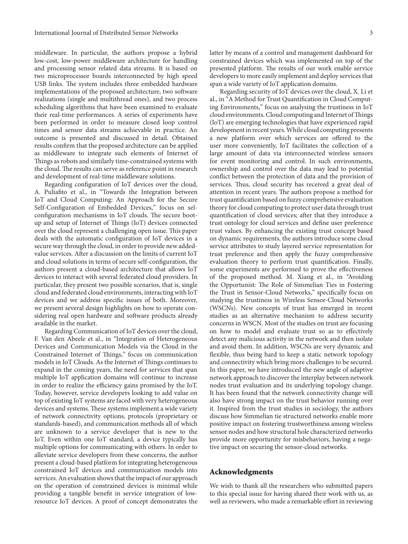middleware. In particular, the authors propose a hybrid low-cost, low-power middleware architecture for handling and processing sensor related data streams. It is based on two microprocessor boards interconnected by high speed USB links. The system includes three embedded hardware implementations of the proposed architecture, two software realizations (single and multithread ones), and two process scheduling algorithms that have been examined to evaluate their real-time performances. A series of experiments have been performed in order to measure closed loop control times and sensor data streams achievable in practice. An outcome is presented and discussed in detail. Obtained results confirm that the proposed architecture can be applied as middleware to integrate such elements of Internet of Things as robots and similarly time-constrained systems with the cloud. The results can serve as reference point in research and development of real-time middleware solutions.

Regarding configuration of IoT devices over the cloud, A. Puliafito et al., in "Towards the Integration between IoT and Cloud Computing: An Approach for the Secure Self-Configuration of Embedded Devices," focus on selconfiguration mechanisms in IoT clouds. The secure bootup and setup of Internet of Things (IoT) devices connected over the cloud represent a challenging open issue. This paper deals with the automatic configuration of IoT devices in a secure way through the cloud, in order to provide new addedvalue services. After a discussion on the limits of current IoT and cloud solutions in terms of secure self-configuration, the authors present a cloud-based architecture that allows IoT devices to interact with several federated cloud providers. In particular, they present two possible scenarios, that is, single cloud and federated cloud environments, interacting with IoT devices and we address specific issues of both. Moreover, we present several design highlights on how to operate considering real open hardware and software products already available in the market.

Regarding Communication of IoT devices over the cloud, F. Van den Abeele et al., in "Integration of Heterogeneous Devices and Communication Models via the Cloud in the Constrained Internet of Things," focus on communication models in IoT Clouds. As the Internet of Things continues to expand in the coming years, the need for services that span multiple IoT application domains will continue to increase in order to realize the efficiency gains promised by the IoT. Today, however, service developers looking to add value on top of existing IoT systems are faced with very heterogeneous devices and systems. These systems implement a wide variety of network connectivity options, protocols (proprietary or standards-based), and communication methods all of which are unknown to a service developer that is new to the IoT. Even within one IoT standard, a device typically has multiple options for communicating with others. In order to alleviate service developers from these concerns, the author present a cloud-based platform for integrating heterogeneous constrained IoT devices and communication models into services. An evaluation shows that the impact of our approach on the operation of constrained devices is minimal while providing a tangible benefit in service integration of lowresource IoT devices. A proof of concept demonstrates the

latter by means of a control and management dashboard for constrained devices which was implemented on top of the presented platform. The results of our work enable service developers to more easily implement and deploy services that span a wide variety of IoT application domains.

Regarding security of IoT devices over the cloud, X. Li et al., in "A Method for Trust Quantification in Cloud Computing Environments," focus on analysing the trustiness in IoT cloud environments. Cloud computing and Internet of Things (IoT) are emerging technologies that have experienced rapid development in recent years.While cloud computing presents a new platform over which services are offered to the user more conveniently, IoT facilitates the collection of a large amount of data via interconnected wireless sensors for event monitoring and control. In such environments, ownership and control over the data may lead to potential conflict between the protection of data and the provision of services. Thus, cloud security has received a great deal of attention in recent years. The authors propose a method for trust quantification based on fuzzy comprehensive evaluation theory for cloud computing to protect user data through trust quantification of cloud services; after that they introduce a trust ontology for cloud services and define user preference trust values. By enhancing the existing trust concept based on dynamic requirements, the authors introduce some cloud service attributes to study layered service representation for trust preference and then apply the fuzzy comprehensive evaluation theory to perform trust quantification. Finally, some experiments are performed to prove the effectiveness of the proposed method. M. Xiang et al., in "Avoiding the Opportunist: The Role of Simmelian Ties in Fostering the Trust in Sensor-Cloud Networks," specifically focus on studying the trustiness in Wireless Sensor-Cloud Networks (WSCNs). New concepts of trust has emerged in recent studies as an alternative mechanism to address security concerns in WSCN. Most of the studies on trust are focusing on how to model and evaluate trust so as to effectively detect any malicious activity in the network and then isolate and avoid them. In addition, WSCNs are very dynamic and flexible, thus being hard to keep a static network topology and connectivity which bring more challenges to be secured. In this paper, we have introduced the new angle of adaptive network approach to discover the interplay between network nodes trust evaluation and its underlying topology change. It has been found that the network connectivity change will also have strong impact on the trust behavior running over it. Inspired from the trust studies in sociology, the authors discuss how Simmelian tie structured networks enable more positive impact on fostering trustworthiness among wireless sensor nodes and how structural hole characterized networks provide more opportunity for misbehaviors, having a negative impact on securing the sensor-cloud networks.

#### **Acknowledgments**

We wish to thank all the researchers who submitted papers to this special issue for having shared their work with us, as well as reviewers, who made a remarkable effort in reviewing